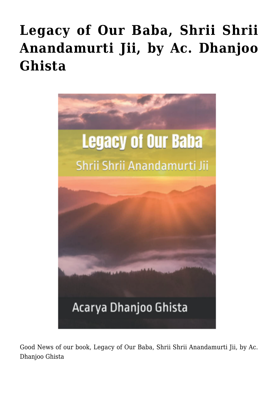## **[Legacy of Our Baba, Shrii Shrii](https://crimsondawn.net/legacy-of-our-baba-shrii-shrii-anandamurti-jii-by-ac-dhanjoo-ghista/) [Anandamurti Jii, by Ac. Dhanjoo](https://crimsondawn.net/legacy-of-our-baba-shrii-shrii-anandamurti-jii-by-ac-dhanjoo-ghista/) [Ghista](https://crimsondawn.net/legacy-of-our-baba-shrii-shrii-anandamurti-jii-by-ac-dhanjoo-ghista/)**



Good News of our book, Legacy of Our Baba, Shrii Shrii Anandamurti Jii, by Ac. Dhanjoo Ghista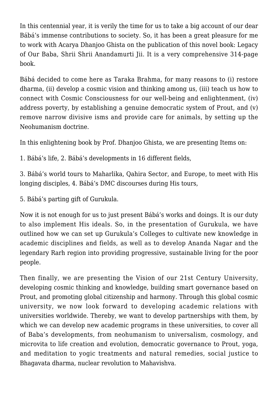In this centennial year, it is verily the time for us to take a big account of our dear Bábá's immense contributions to society. So, it has been a great pleasure for me to work with Acarya Dhanjoo Ghista on the publication of this novel book: Legacy of Our Baba, Shrii Shrii Anandamurti Jii. It is a very comprehensive 314-page book.

Bábá decided to come here as Taraka Brahma, for many reasons to (i) restore dharma, (ii) develop a cosmic vision and thinking among us, (iii) teach us how to connect with Cosmic Consciousness for our well-being and enlightenment, (iv) address poverty, by establishing a genuine democratic system of Prout, and (v) remove narrow divisive isms and provide care for animals, by setting up the Neohumanism doctrine.

In this enlightening book by Prof. Dhanjoo Ghista, we are presenting Items on:

1. Bábá's life, 2. Bábá's developments in 16 different fields,

3. Bábá's world tours to Maharlika, Qahira Sector, and Europe, to meet with His longing disciples, 4. Bábá's DMC discourses during His tours,

5. Bábá's parting gift of Gurukula.

Now it is not enough for us to just present Bábá's works and doings. It is our duty to also implement His ideals. So, in the presentation of Gurukula, we have outlined how we can set up Gurukula's Colleges to cultivate new knowledge in academic disciplines and fields, as well as to develop Ananda Nagar and the legendary Rarh region into providing progressive, sustainable living for the poor people.

Then finally, we are presenting the Vision of our 21st Century University, developing cosmic thinking and knowledge, building smart governance based on Prout, and promoting global citizenship and harmony. Through this global cosmic university, we now look forward to developing academic relations with universities worldwide. Thereby, we want to develop partnerships with them, by which we can develop new academic programs in these universities, to cover all of Baba's developments, from neohumanism to universalism, cosmology, and microvita to life creation and evolution, democratic governance to Prout, yoga, and meditation to yogic treatments and natural remedies, social justice to Bhagavata dharma, nuclear revolution to Mahavishva.